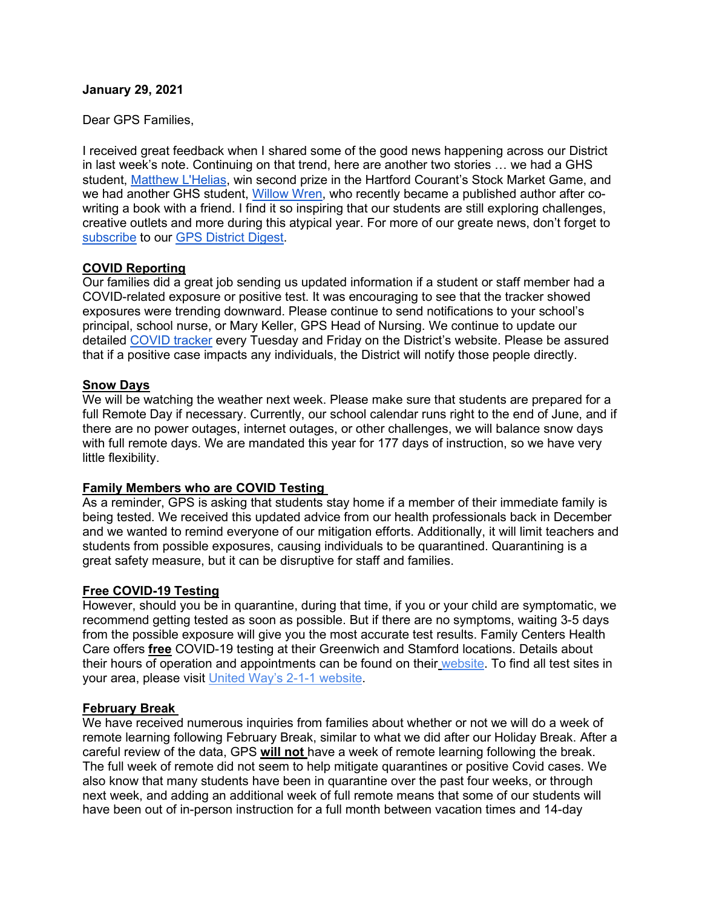### **January 29, 2021**

Dear GPS Families,

I received great feedback when I shared some of the good news happening across our District in last week's note. Continuing on that trend, here are another two stories … we had a GHS student, [Matthew L'Helias,](https://www.smore.com/aqmjs-gps-district-digest) win second prize in the Hartford Courant's Stock Market Game, and we had another GHS student, [Willow Wren,](https://www.smore.com/aqmjs-gps-district-digest) who recently became a published author after cowriting a book with a friend. I find it so inspiring that our students are still exploring challenges, creative outlets and more during this atypical year. For more of our greate news, don't forget to [subscribe](https://www.greenwichschools.org/departments/communications/district-digest-newsletter) to our [GPS District Digest.](https://www.smore.com/aqmjs-gps-district-digest)

## **COVID Reporting**

Our families did a great job sending us updated information if a student or staff member had a COVID-related exposure or positive test. It was encouraging to see that the tracker showed exposures were trending downward. Please continue to send notifications to your school's principal, school nurse, or Mary Keller, GPS Head of Nursing. We continue to update our detailed [COVID tracker](https://www.greenwichschools.org/teaching-learning/student-support-services/health-services/covid-19) every Tuesday and Friday on the District's website. Please be assured that if a positive case impacts any individuals, the District will notify those people directly.

### **Snow Days**

We will be watching the weather next week. Please make sure that students are prepared for a full Remote Day if necessary. Currently, our school calendar runs right to the end of June, and if there are no power outages, internet outages, or other challenges, we will balance snow days with full remote days. We are mandated this year for 177 days of instruction, so we have very little flexibility.

## **Family Members who are COVID Testing**

As a reminder, GPS is asking that students stay home if a member of their immediate family is being tested. We received this updated advice from our health professionals back in December and we wanted to remind everyone of our mitigation efforts. Additionally, it will limit teachers and students from possible exposures, causing individuals to be quarantined. Quarantining is a great safety measure, but it can be disruptive for staff and families.

### **Free COVID-19 Testing**

However, should you be in quarantine, during that time, if you or your child are symptomatic, we recommend getting tested as soon as possible. But if there are no symptoms, waiting 3-5 days from the possible exposure will give you the most accurate test results. Family Centers Health Care offers **free** COVID-19 testing at their Greenwich and Stamford locations. Details about their hours of operation and appointments can be found on their [website.](https://www.familycenters.org/FamilyCentersHealthCare) To find all test sites in your area, please visit United Way's [2-1-1 website.](https://www.211ct.org/)

## **February Break**

We have received numerous inquiries from families about whether or not we will do a week of remote learning following February Break, similar to what we did after our Holiday Break. After a careful review of the data, GPS **will not** have a week of remote learning following the break. The full week of remote did not seem to help mitigate quarantines or positive Covid cases. We also know that many students have been in quarantine over the past four weeks, or through next week, and adding an additional week of full remote means that some of our students will have been out of in-person instruction for a full month between vacation times and 14-day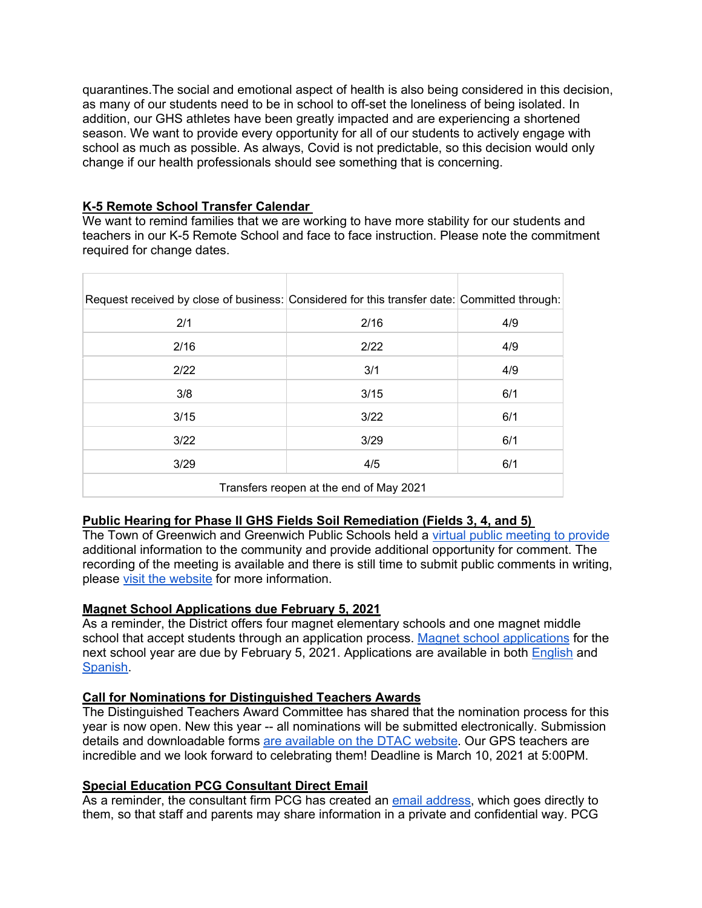quarantines.The social and emotional aspect of health is also being considered in this decision, as many of our students need to be in school to off-set the loneliness of being isolated. In addition, our GHS athletes have been greatly impacted and are experiencing a shortened season. We want to provide every opportunity for all of our students to actively engage with school as much as possible. As always, Covid is not predictable, so this decision would only change if our health professionals should see something that is concerning.

## **K-5 Remote School Transfer Calendar**

We want to remind families that we are working to have more stability for our students and teachers in our K-5 Remote School and face to face instruction. Please note the commitment required for change dates.

| Request received by close of business: Considered for this transfer date: Committed through: |      |     |  |
|----------------------------------------------------------------------------------------------|------|-----|--|
| 2/1                                                                                          | 2/16 | 4/9 |  |
| 2/16                                                                                         | 2/22 | 4/9 |  |
| 2/22                                                                                         | 3/1  | 4/9 |  |
| 3/8                                                                                          | 3/15 | 6/1 |  |
| 3/15                                                                                         | 3/22 | 6/1 |  |
| 3/22                                                                                         | 3/29 | 6/1 |  |
| 3/29                                                                                         | 4/5  | 6/1 |  |
| Transfers reopen at the end of May 2021                                                      |      |     |  |

## **Public Hearing for Phase II GHS Fields Soil Remediation (Fields 3, 4, and 5)**

The Town of Greenwich and Greenwich Public Schools held a [virtual public meeting to provide](https://www.greenwichschools.org/departments/facilities-rentals/building-grounds-projects/ghs-fields-remediation-project) additional information to the community and provide additional opportunity for comment. The recording of the meeting is available and there is still time to submit public comments in writing, please [visit the website](https://www.greenwichschools.org/departments/facilities-rentals/building-grounds-projects/ghs-fields-remediation-project) for more information.

# **Magnet School Applications due February 5, 2021**

As a reminder, the District offers four magnet elementary schools and one magnet middle school that accept students through an application process. [Magnet school applications](https://www.greenwichschools.org/teaching-learning/magnet-schools) for the next school year are due by February 5, 2021. Applications are available in both [English](https://docs.google.com/forms/d/e/1FAIpQLScTKg7idx-R1kApS---TvuHESyFG90r7qck15-lCFCVhRv1zg/viewform) and [Spanish.](https://docs.google.com/forms/d/e/1FAIpQLSdCNVhptBrqdWT5ChAMWzkDsbEYW_l-2w0wqTIS-psLQ8CaAQ/viewform)

# **Call for Nominations for Distinguished Teachers Awards**

The Distinguished Teachers Award Committee has shared that the nomination process for this year is now open. New this year -- all nominations will be submitted electronically. Submission details and downloadable forms [are available on the DTAC website.](https://www.greenwichschools.org/departments/communications/awardsrecognition-programs/distinguished-teachers-awards) Our GPS teachers are incredible and we look forward to celebrating them! Deadline is March 10, 2021 at 5:00PM.

# **Special Education PCG Consultant Direct Email**

As a reminder, the consultant firm PCG has created an [email address,](mailto:programreviewfeedback@pcgus.com) which goes directly to them, so that staff and parents may share information in a private and confidential way. PCG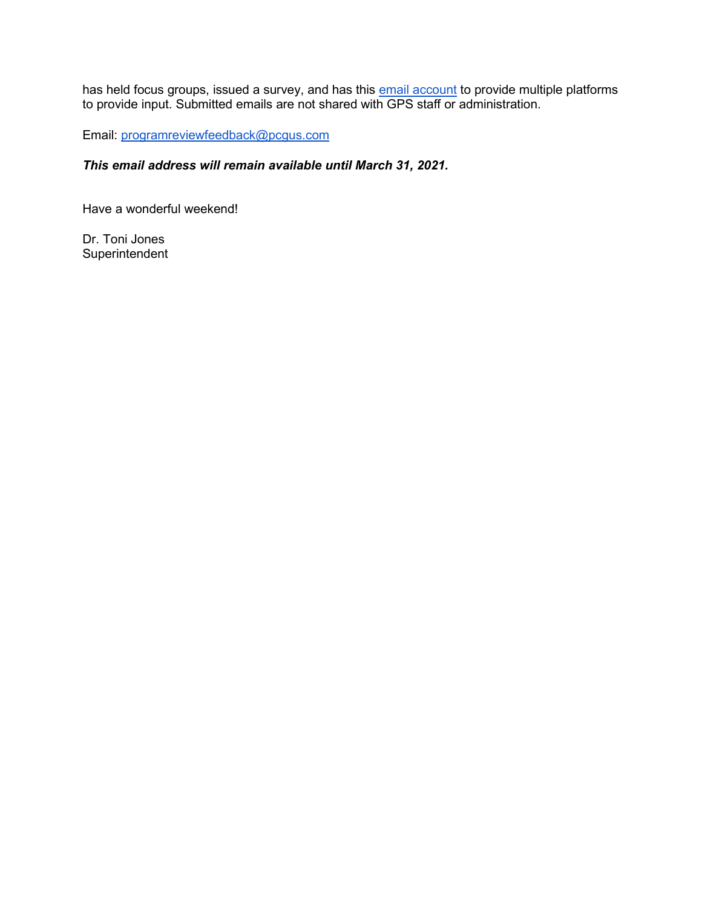has held focus groups, issued a survey, and has this <u>email account</u> to provide multiple platforms <sub>.</sub> to provide input. Submitted emails are not shared with GPS staff or administration.

Email: [programreviewfeedback@pcgus.com](mailto:programreviewfeedback@pcgus.com)

## *This email address will remain available until March 31, 2021.*

Have a wonderful weekend!

Dr. Toni Jones Superintendent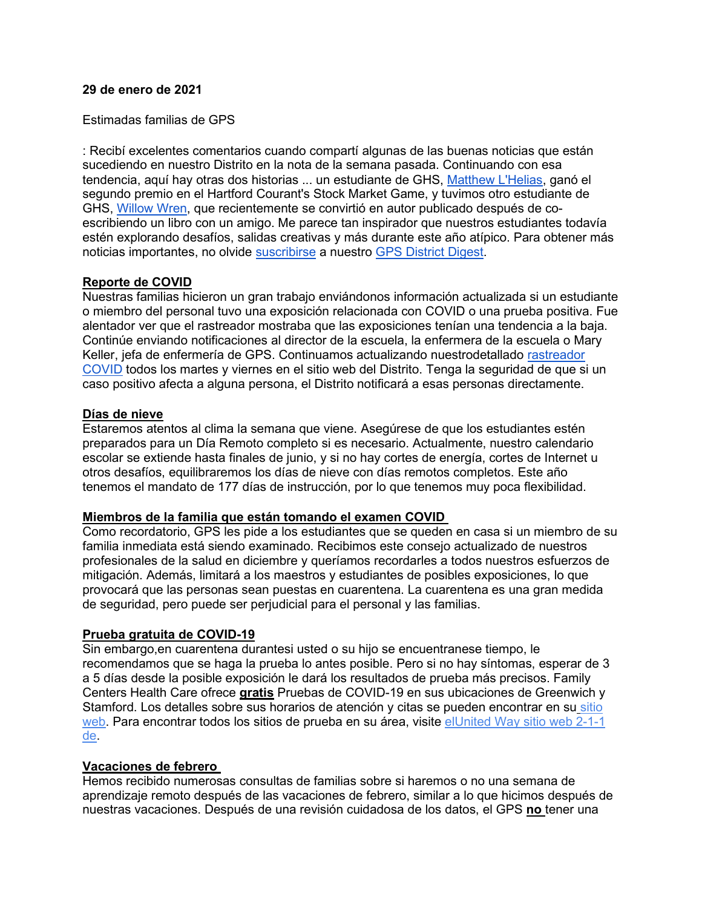### **29 de enero de 2021**

Estimadas familias de GPS

: Recibí excelentes comentarios cuando compartí algunas de las buenas noticias que están sucediendo en nuestro Distrito en la nota de la semana pasada. Continuando con esa tendencia, aquí hay otras dos historias ... un estudiante de GHS, [Matthew L'Helias,](https://www.smore.com/aqmjs-gps-district-digest) ganó el segundo premio en el Hartford Courant's Stock Market Game, y tuvimos otro estudiante de GHS, [Willow Wren,](https://www.smore.com/aqmjs-gps-district-digest) que recientemente se convirtió en autor publicado después de coescribiendo un libro con un amigo. Me parece tan inspirador que nuestros estudiantes todavía estén explorando desafíos, salidas creativas y más durante este año atípico. Para obtener más noticias importantes, no olvide [suscribirse](https://www.greenwichschools.org/departments/communications/district-digest-newsletter) a nuestro [GPS District Digest.](https://www.smore.com/aqmjs-gps-district-digest)

### **Reporte de COVID**

Nuestras familias hicieron un gran trabajo enviándonos información actualizada si un estudiante o miembro del personal tuvo una exposición relacionada con COVID o una prueba positiva. Fue alentador ver que el rastreador mostraba que las exposiciones tenían una tendencia a la baja. Continúe enviando notificaciones al director de la escuela, la enfermera de la escuela o Mary Keller, jefa de enfermería de GPS. Continuamos actualizando nuestrodetallado [rastreador](https://www.greenwichschools.org/teaching-learning/student-support-services/health-services/covid-19)  [COVID](https://www.greenwichschools.org/teaching-learning/student-support-services/health-services/covid-19) todos los martes y viernes en el sitio web del Distrito. Tenga la seguridad de que si un caso positivo afecta a alguna persona, el Distrito notificará a esas personas directamente.

#### **Días de nieve**

Estaremos atentos al clima la semana que viene. Asegúrese de que los estudiantes estén preparados para un Día Remoto completo si es necesario. Actualmente, nuestro calendario escolar se extiende hasta finales de junio, y si no hay cortes de energía, cortes de Internet u otros desafíos, equilibraremos los días de nieve con días remotos completos. Este año tenemos el mandato de 177 días de instrucción, por lo que tenemos muy poca flexibilidad.

#### **Miembros de la familia que están tomando el examen COVID**

Como recordatorio, GPS les pide a los estudiantes que se queden en casa si un miembro de su familia inmediata está siendo examinado. Recibimos este consejo actualizado de nuestros profesionales de la salud en diciembre y queríamos recordarles a todos nuestros esfuerzos de mitigación. Además, limitará a los maestros y estudiantes de posibles exposiciones, lo que provocará que las personas sean puestas en cuarentena. La cuarentena es una gran medida de seguridad, pero puede ser perjudicial para el personal y las familias.

#### **Prueba gratuita de COVID-19**

Sin embargo,en cuarentena durantesi usted o su hijo se encuentranese tiempo, le recomendamos que se haga la prueba lo antes posible. Pero si no hay síntomas, esperar de 3 a 5 días desde la posible exposición le dará los resultados de prueba más precisos. Family Centers Health Care ofrece **gratis** Pruebas de COVID-19 en sus ubicaciones de Greenwich y Stamford. Los detalles sobre sus horarios de atención y citas se pueden encontrar en su sitio [web.](https://www.familycenters.org/FamilyCentersHealthCare) Para encontrar todos los sitios de prueba en su área, visite elUnited Way sitio web 2-1-1 [de.](https://www.211ct.org/)

### **Vacaciones de febrero**

Hemos recibido numerosas consultas de familias sobre si haremos o no una semana de aprendizaje remoto después de las vacaciones de febrero, similar a lo que hicimos después de nuestras vacaciones. Después de una revisión cuidadosa de los datos, el GPS **no** tener una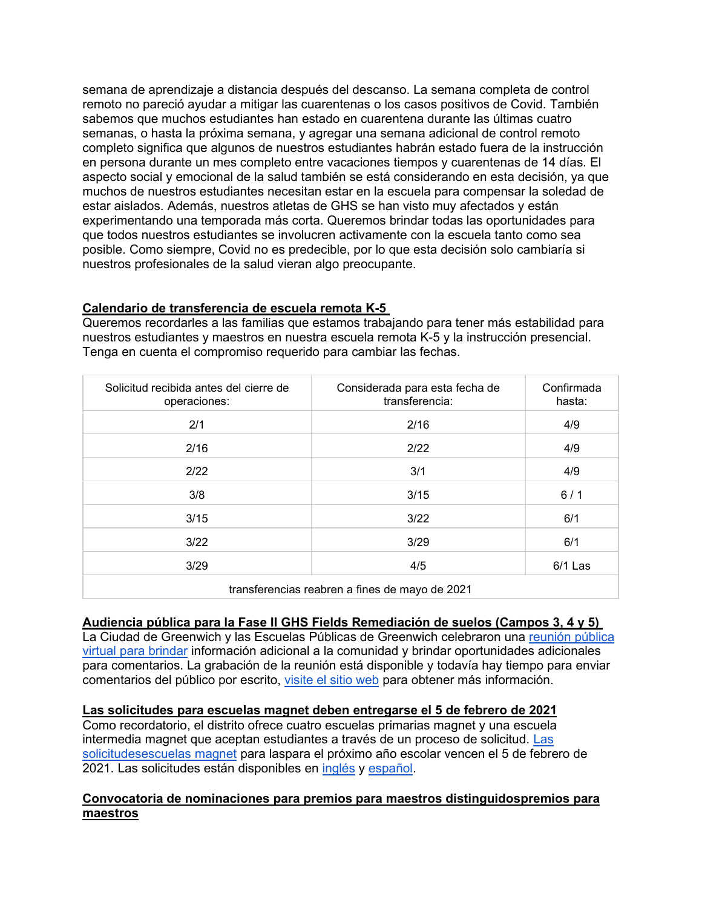semana de aprendizaje a distancia después del descanso. La semana completa de control remoto no pareció ayudar a mitigar las cuarentenas o los casos positivos de Covid. También sabemos que muchos estudiantes han estado en cuarentena durante las últimas cuatro semanas, o hasta la próxima semana, y agregar una semana adicional de control remoto completo significa que algunos de nuestros estudiantes habrán estado fuera de la instrucción en persona durante un mes completo entre vacaciones tiempos y cuarentenas de 14 días. El aspecto social y emocional de la salud también se está considerando en esta decisión, ya que muchos de nuestros estudiantes necesitan estar en la escuela para compensar la soledad de estar aislados. Además, nuestros atletas de GHS se han visto muy afectados y están experimentando una temporada más corta. Queremos brindar todas las oportunidades para que todos nuestros estudiantes se involucren activamente con la escuela tanto como sea posible. Como siempre, Covid no es predecible, por lo que esta decisión solo cambiaría si nuestros profesionales de la salud vieran algo preocupante.

## **Calendario de transferencia de escuela remota K-5**

Queremos recordarles a las familias que estamos trabajando para tener más estabilidad para nuestros estudiantes y maestros en nuestra escuela remota K-5 y la instrucción presencial. Tenga en cuenta el compromiso requerido para cambiar las fechas.

| Solicitud recibida antes del cierre de<br>operaciones: | Considerada para esta fecha de<br>transferencia: | Confirmada<br>hasta: |
|--------------------------------------------------------|--------------------------------------------------|----------------------|
| 2/1                                                    | 2/16                                             | 4/9                  |
| 2/16                                                   | 2/22                                             | 4/9                  |
| 2/22                                                   | 3/1                                              | 4/9                  |
| 3/8                                                    | 3/15                                             | 6/1                  |
| 3/15                                                   | 3/22                                             | 6/1                  |
| 3/22                                                   | 3/29                                             | 6/1                  |
| 3/29                                                   | 4/5                                              | $6/1$ Las            |

transferencias reabren a fines de mayo de 2021

## **Audiencia pública para la Fase II GHS Fields Remediación de suelos (Campos 3, 4 y 5)**

La Ciudad de Greenwich y las Escuelas Públicas de Greenwich celebraron una reunión pública [virtual para brindar](https://www.greenwichschools.org/departments/facilities-rentals/building-grounds-projects/ghs-fields-remediation-project) información adicional a la comunidad y brindar oportunidades adicionales para comentarios. La grabación de la reunión está disponible y todavía hay tiempo para enviar comentarios del público por escrito, [visite el sitio web](https://www.greenwichschools.org/departments/facilities-rentals/building-grounds-projects/ghs-fields-remediation-project) para obtener más información.

## **Las solicitudes para escuelas magnet deben entregarse el 5 de febrero de 2021**

Como recordatorio, el distrito ofrece cuatro escuelas primarias magnet y una escuela intermedia magnet que aceptan estudiantes a través de un proceso de solicitud. [Las](https://www.greenwichschools.org/teaching-learning/magnet-schools)  [solicitudesescuelas magnet](https://www.greenwichschools.org/teaching-learning/magnet-schools) para laspara el próximo año escolar vencen el 5 de febrero de 2021. Las solicitudes están disponibles en [inglés](https://docs.google.com/forms/d/e/1FAIpQLScTKg7idx-R1kApS---TvuHESyFG90r7qck15-lCFCVhRv1zg/viewform) y [español.](https://docs.google.com/forms/d/e/1FAIpQLSdCNVhptBrqdWT5ChAMWzkDsbEYW_l-2w0wqTIS-psLQ8CaAQ/viewform)

## **Convocatoria de nominaciones para premios para maestros distinguidospremios para maestros**